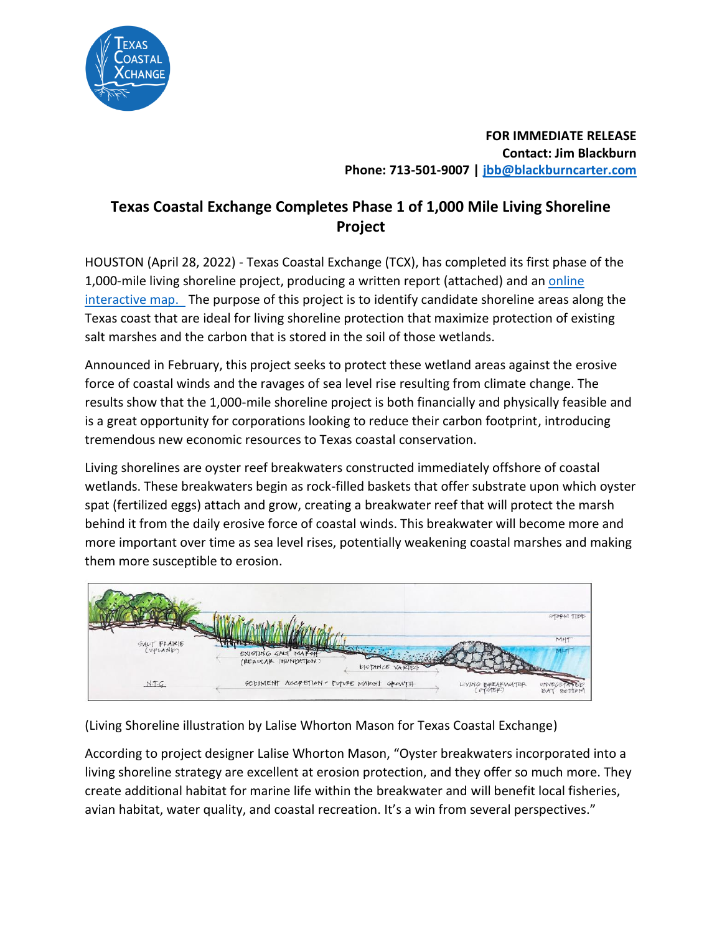

**FOR IMMEDIATE RELEASE Contact: Jim Blackburn Phone: 713-501-9007 | [jbb@blackburncarter.com](mailto:jbb@blackburncarter.com)**

## **Texas Coastal Exchange Completes Phase 1 of 1,000 Mile Living Shoreline Project**

HOUSTON (April 28, 2022) - Texas Coastal Exchange (TCX), has completed its first phase of the 1,000-mile living shoreline project, producing a written report (attached) and an online [interactive map.](https://www.texascoastalexchange.org/livingshoreline.html) The purpose of this project is to identify candidate shoreline areas along the Texas coast that are ideal for living shoreline protection that maximize protection of existing salt marshes and the carbon that is stored in the soil of those wetlands.

Announced in February, this project seeks to protect these wetland areas against the erosive force of coastal winds and the ravages of sea level rise resulting from climate change. The results show that the 1,000-mile shoreline project is both financially and physically feasible and is a great opportunity for corporations looking to reduce their carbon footprint, introducing tremendous new economic resources to Texas coastal conservation.

Living shorelines are oyster reef breakwaters constructed immediately offshore of coastal wetlands. These breakwaters begin as rock-filled baskets that offer substrate upon which oyster spat (fertilized eggs) attach and grow, creating a breakwater reef that will protect the marsh behind it from the daily erosive force of coastal winds. This breakwater will become more and more important over time as sea level rises, potentially weakening coastal marshes and making them more susceptible to erosion.



(Living Shoreline illustration by Lalise Whorton Mason for Texas Coastal Exchange)

According to project designer Lalise Whorton Mason, "Oyster breakwaters incorporated into a living shoreline strategy are excellent at erosion protection, and they offer so much more. They create additional habitat for marine life within the breakwater and will benefit local fisheries, avian habitat, water quality, and coastal recreation. It's a win from several perspectives."